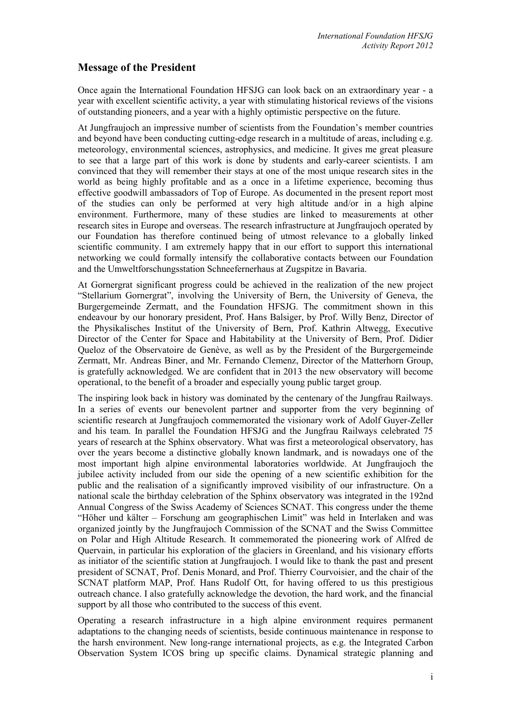## **Message of the President**

Once again the International Foundation HFSJG can look back on an extraordinary year - a year with excellent scientific activity, a year with stimulating historical reviews of the visions of outstanding pioneers, and a year with a highly optimistic perspective on the future.

At Jungfraujoch an impressive number of scientists from the Foundation's member countries and beyond have been conducting cutting-edge research in a multitude of areas, including e.g. meteorology, environmental sciences, astrophysics, and medicine. It gives me great pleasure to see that a large part of this work is done by students and early-career scientists. I am convinced that they will remember their stays at one of the most unique research sites in the world as being highly profitable and as a once in a lifetime experience, becoming thus effective goodwill ambassadors of Top of Europe. As documented in the present report most of the studies can only be performed at very high altitude and/or in a high alpine environment. Furthermore, many of these studies are linked to measurements at other research sites in Europe and overseas. The research infrastructure at Jungfraujoch operated by our Foundation has therefore continued being of utmost relevance to a globally linked scientific community. I am extremely happy that in our effort to support this international networking we could formally intensify the collaborative contacts between our Foundation and the Umweltforschungsstation Schneefernerhaus at Zugspitze in Bavaria.

At Gornergrat significant progress could be achieved in the realization of the new project "Stellarium Gornergrat", involving the University of Bern, the University of Geneva, the Burgergemeinde Zermatt, and the Foundation HFSJG. The commitment shown in this endeavour by our honorary president, Prof. Hans Balsiger, by Prof. Willy Benz, Director of the Physikalisches Institut of the University of Bern, Prof. Kathrin Altwegg, Executive Director of the Center for Space and Habitability at the University of Bern, Prof. Didier Queloz of the Observatoire de Genève, as well as by the President of the Burgergemeinde Zermatt, Mr. Andreas Biner, and Mr. Fernando Clemenz, Director of the Matterhorn Group, is gratefully acknowledged. We are confident that in 2013 the new observatory will become operational, to the benefit of a broader and especially young public target group.

The inspiring look back in history was dominated by the centenary of the Jungfrau Railways. In a series of events our benevolent partner and supporter from the very beginning of scientific research at Jungfraujoch commemorated the visionary work of Adolf Guyer-Zeller and his team. In parallel the Foundation HFSJG and the Jungfrau Railways celebrated 75 years of research at the Sphinx observatory. What was first a meteorological observatory, has over the years become a distinctive globally known landmark, and is nowadays one of the most important high alpine environmental laboratories worldwide. At Jungfraujoch the jubilee activity included from our side the opening of a new scientific exhibition for the public and the realisation of a significantly improved visibility of our infrastructure. On a national scale the birthday celebration of the Sphinx observatory was integrated in the 192nd Annual Congress of the Swiss Academy of Sciences SCNAT. This congress under the theme "Höher und kälter – Forschung am geographischen Limit" was held in Interlaken and was organized jointly by the Jungfraujoch Commission of the SCNAT and the Swiss Committee on Polar and High Altitude Research. It commemorated the pioneering work of Alfred de Quervain, in particular his exploration of the glaciers in Greenland, and his visionary efforts as initiator of the scientific station at Jungfraujoch. I would like to thank the past and present president of SCNAT, Prof. Denis Monard, and Prof. Thierry Courvoisier, and the chair of the SCNAT platform MAP, Prof. Hans Rudolf Ott, for having offered to us this prestigious outreach chance. I also gratefully acknowledge the devotion, the hard work, and the financial support by all those who contributed to the success of this event.

Operating a research infrastructure in a high alpine environment requires permanent adaptations to the changing needs of scientists, beside continuous maintenance in response to the harsh environment. New long-range international projects, as e.g. the Integrated Carbon Observation System ICOS bring up specific claims. Dynamical strategic planning and